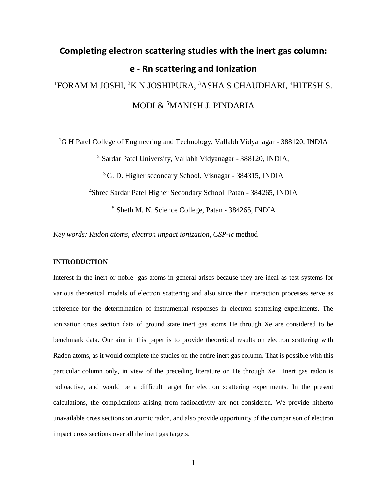# **Completing electron scattering studies with the inert gas column: e - Rn scattering and Ionization** <sup>1</sup>FORAM M JOSHI, <sup>2</sup>K N JOSHIPURA, <sup>3</sup>ASHA S CHAUDHARI, <sup>4</sup>HITESH S. MODI & <sup>5</sup>MANISH J. PINDARIA

<sup>1</sup>G H Patel College of Engineering and Technology, Vallabh Vidyanagar - 388120, INDIA

<sup>2</sup> Sardar Patel University, Vallabh Vidyanagar - 388120, INDIA,

<sup>3</sup>G. D. Higher secondary School, Visnagar - 384315, INDIA

<sup>4</sup>Shree Sardar Patel Higher Secondary School, Patan - 384265, INDIA

<sup>5</sup> Sheth M. N. Science College, Patan - 384265, INDIA

*Key words: Radon atoms, electron impact ionization, CSP-ic* method

# **INTRODUCTION**

Interest in the inert or noble- gas atoms in general arises because they are ideal as test systems for various theoretical models of electron scattering and also since their interaction processes serve as reference for the determination of instrumental responses in electron scattering experiments. The ionization cross section data of ground state inert gas atoms He through Xe are considered to be benchmark data. Our aim in this paper is to provide theoretical results on electron scattering with Radon atoms, as it would complete the studies on the entire inert gas column. That is possible with this particular column only, in view of the preceding literature on He through Xe . Inert gas radon is radioactive, and would be a difficult target for electron scattering experiments. In the present calculations, the complications arising from radioactivity are not considered. We provide hitherto unavailable cross sections on atomic radon, and also provide opportunity of the comparison of electron impact cross sections over all the inert gas targets.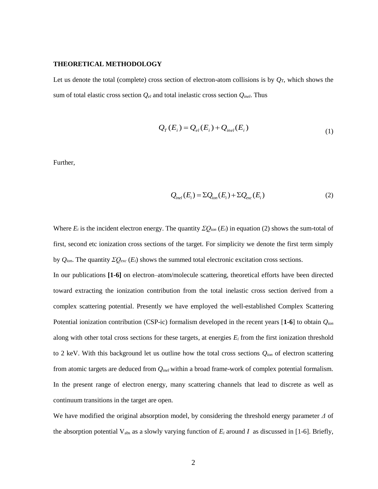#### **THEORETICAL METHODOLOGY**

Let us denote the total (complete) cross section of electron-atom collisions is by  $Q_T$ , which shows the sum of total elastic cross section *Qel* and total inelastic cross section *Qinel*. Thus

$$
Q_T(E_i) = Q_{el}(E_i) + Q_{inel}(E_i)
$$
\n(1)

Further,

$$
Q_{inel}(E_i) = \Sigma Q_{ion}(E_i) + \Sigma Q_{exc}(E_i)
$$
\n(2)

Where  $E_i$  is the incident electron energy. The quantity  $\Sigma Q_{ion}(E_i)$  in equation (2) shows the sum-total of first, second etc ionization cross sections of the target. For simplicity we denote the first term simply by *Qion*. The quantity *ΣQexc* (*Ei*) shows the summed total electronic excitation cross sections.

In our publications **[1-6]** on electron–atom/molecule scattering, theoretical efforts have been directed toward extracting the ionization contribution from the total inelastic cross section derived from a complex scattering potential. Presently we have employed the well-established Complex Scattering Potential ionization contribution (CSP-ic) formalism developed in the recent years [**1-6**] to obtain *Qion* along with other total cross sections for these targets, at energies  $E_i$  from the first ionization threshold to 2 keV. With this background let us outline how the total cross sections *Qion* of electron scattering from atomic targets are deduced from *Qinel* within a broad frame-work of complex potential formalism. In the present range of electron energy, many scattering channels that lead to discrete as well as continuum transitions in the target are open.

We have modified the original absorption model, by considering the threshold energy parameter *Δ* of the absorption potential  $V_{abs}$  as a slowly varying function of  $E_i$  around  $I$  as discussed in [1-6]. Briefly,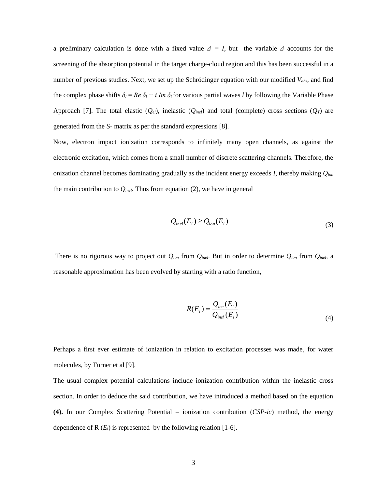a preliminary calculation is done with a fixed value  $\Delta = I$ , but the variable  $\Delta$  accounts for the screening of the absorption potential in the target charge-cloud region and this has been successful in a number of previous studies. Next, we set up the Schrödinger equation with our modified *Vabs*, and find the complex phase shifts  $\delta_l = Re \delta_l + i Im \delta_l$  for various partial waves *l* by following the Variable Phase Approach [7]. The total elastic  $(Q_{el})$ , inelastic  $(Q_{inel})$  and total (complete) cross sections  $(Q_T)$  are generated from the S- matrix as per the standard expressions [8].

Now, electron impact ionization corresponds to infinitely many open channels, as against the electronic excitation, which comes from a small number of discrete scattering channels. Therefore, the onization channel becomes dominating gradually as the incident energy exceeds *I*, thereby making *Qion* the main contribution to *Qinel*. Thus from equation (2), we have in general

$$
Q_{inel}(E_i) \ge Q_{ion}(E_i)
$$
\n(3)

There is no rigorous way to project out *Qion* from *Qinel*. But in order to determine *Qion* from *Qinel*, a reasonable approximation has been evolved by starting with a ratio function,

$$
R(E_i) = \frac{Q_{ion}(E_i)}{Q_{inel}(E_i)}
$$
\n(4)

Perhaps a first ever estimate of ionization in relation to excitation processes was made, for water molecules, by Turner et al [9].

The usual complex potential calculations include ionization contribution within the inelastic cross section. In order to deduce the said contribution, we have introduced a method based on the equation **(4).** In our Complex Scattering Potential – ionization contribution (*CSP-ic*) method, the energy dependence of  $R(E_i)$  is represented by the following relation [1-6].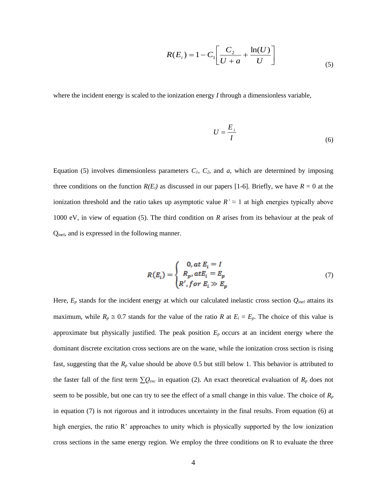$$
R(E_i) = 1 - C_1 \left[ \frac{C_2}{U + a} + \frac{\ln(U)}{U} \right]
$$
 (5)

where the incident energy is scaled to the ionization energy *I* through a dimensionless variable,

$$
U = \frac{E_i}{I} \tag{6}
$$

Equation (5) involves dimensionless parameters  $C_1$ ,  $C_2$ , and  $a$ , which are determined by imposing three conditions on the function  $R(E_i)$  as discussed in our papers [1-6]. Briefly, we have  $R = 0$  at the ionization threshold and the ratio takes up asymptotic value  $R \approx 1$  at high energies typically above 1000 eV, in view of equation (5). The third condition on *R* arises from its behaviour at the peak of Qinel, and is expressed in the following manner.

$$
R(E_i) = \begin{cases} 0, at E_i = I \\ R_p, at E_i = E_p \\ R', for E_i \gg E_p \end{cases}
$$
(7)

Here,  $E_p$  stands for the incident energy at which our calculated inelastic cross section  $Q_{inel}$  attains its maximum, while  $R_p \approx 0.7$  stands for the value of the ratio *R* at  $E_i = E_p$ . The choice of this value is approximate but physically justified. The peak position *Ep* occurs at an incident energy where the dominant discrete excitation cross sections are on the wane, while the ionization cross section is rising fast, suggesting that the  $R_p$  value should be above 0.5 but still below 1. This behavior is attributed to the faster fall of the first term *∑Qexc* in equation (2). An exact theoretical evaluation of *R<sup>p</sup>* does not seem to be possible, but one can try to see the effect of a small change in this value. The choice of  $R_p$ in equation (7) is not rigorous and it introduces uncertainty in the final results. From equation (6) at high energies, the ratio R' approaches to unity which is physically supported by the low ionization cross sections in the same energy region. We employ the three conditions on R to evaluate the three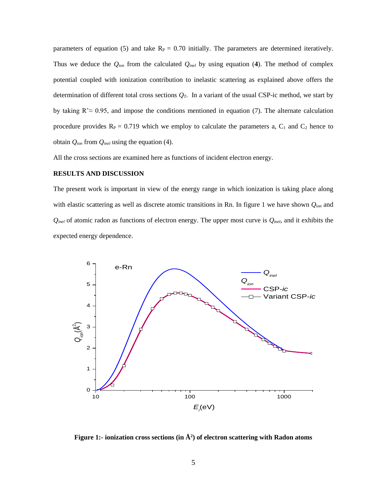parameters of equation (5) and take  $R_P = 0.70$  initially. The parameters are determined iteratively. Thus we deduce the  $Q_{ion}$  from the calculated  $Q_{inel}$  by using equation (4). The method of complex potential coupled with ionization contribution to inelastic scattering as explained above offers the determination of different total cross sections *QT*. In a variant of the usual CSP-ic method, we start by by taking  $R \approx 0.95$ , and impose the conditions mentioned in equation (7). The alternate calculation procedure provides  $R_P = 0.719$  which we employ to calculate the parameters a,  $C_1$  and  $C_2$  hence to obtain *Qion* from *Qinel* using the equation (4).

All the cross sections are examined here as functions of incident electron energy.

## **RESULTS AND DISCUSSION**

The present work is important in view of the energy range in which ionization is taking place along with elastic scattering as well as discrete atomic transitions in Rn. In figure 1 we have shown *Qion* and *Qinel* of atomic radon as functions of electron energy. The upper most curve is *Qinel*, and it exhibits the expected energy dependence.



**Figure 1:- ionization cross sections (in Å<sup>2</sup> ) of electron scattering with Radon atoms**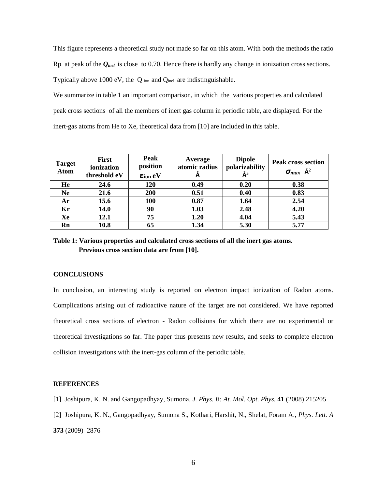This figure represents a theoretical study not made so far on this atom. With both the methods the ratio Rp at peak of the *Qinel* is close to 0.70. Hence there is hardly any change in ionization cross sections. Typically above 1000 eV, the Q ion and Qinel are indistinguishable.

We summarize in table 1 an important comparison, in which the various properties and calculated peak cross sections of all the members of inert gas column in periodic table, are displayed. For the inert-gas atoms from He to Xe, theoretical data from [10] are included in this table.

| <b>Target</b><br><b>Atom</b> | First<br>ionization<br>threshold eV | Peak<br>position<br>$\epsilon_{ion}$ eV | Average<br>atomic radius | <b>Dipole</b><br>polarizability<br>$\AA^3$ | <b>Peak cross section</b><br>$\sigma_{max}$ $\mathring{A}^2$ |
|------------------------------|-------------------------------------|-----------------------------------------|--------------------------|--------------------------------------------|--------------------------------------------------------------|
| He                           | 24.6                                | 120                                     | 0.49                     | 0.20                                       | 0.38                                                         |
| <b>Ne</b>                    | 21.6                                | 200                                     | 0.51                     | 0.40                                       | 0.83                                                         |
| Ar                           | 15.6                                | 100                                     | 0.87                     | 1.64                                       | 2.54                                                         |
| Kr                           | 14.0                                | 90                                      | 1.03                     | 2.48                                       | 4.20                                                         |
| Xe                           | 12.1                                | 75                                      | 1.20                     | 4.04                                       | 5.43                                                         |
| Rn                           | 10.8                                | 65                                      | 1.34                     | 5.30                                       | 5.77                                                         |

**Table 1: Various properties and calculated cross sections of all the inert gas atoms. Previous cross section data are from [10].**

### **CONCLUSIONS**

In conclusion, an interesting study is reported on electron impact ionization of Radon atoms. Complications arising out of radioactive nature of the target are not considered. We have reported theoretical cross sections of electron - Radon collisions for which there are no experimental or theoretical investigations so far. The paper thus presents new results, and seeks to complete electron collision investigations with the inert-gas column of the periodic table.

# **REFERENCES**

- [1] Joshipura, K. N. and Gangopadhyay, Sumona, *J. Phys. B: At. Mol. Opt. Phys.* **41** (2008) 215205
- [2] Joshipura, K. N., Gangopadhyay, Sumona S., Kothari, Harshit, N., Shelat, Foram A., *Phys. Lett. A*

**373** (2009) 2876